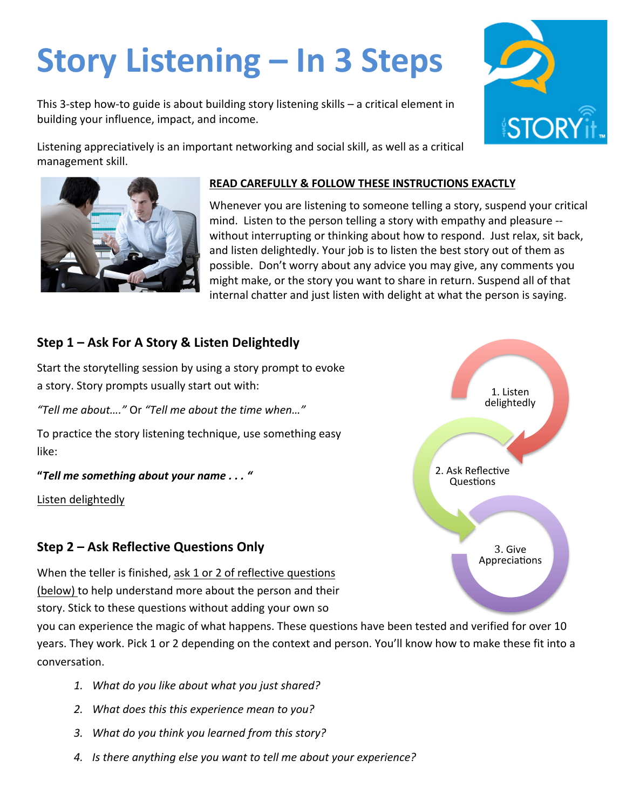# **Story Listening – In 3 Steps**

This 3-step how-to guide is about building story listening skills  $-$  a critical element in building your influence, impact, and income.

Listening appreciatively is an important networking and social skill, as well as a critical management skill.

#### **READ CAREFULLY & FOLLOW THESE INSTRUCTIONS EXACTLY**

Whenever you are listening to someone telling a story, suspend your critical mind. Listen to the person telling a story with empathy and pleasure -without interrupting or thinking about how to respond. Just relax, sit back, and listen delightedly. Your job is to listen the best story out of them as possible. Don't worry about any advice you may give, any comments you might make, or the story you want to share in return. Suspend all of that internal chatter and just listen with delight at what the person is saying.

## **Step 1 – Ask For A Story & Listen Delightedly**

Start the storytelling session by using a story prompt to evoke a story. Story prompts usually start out with:

*"Tell me about…."* Or *"Tell me about the time when…"*

To practice the story listening technique, use something easy like: 

#### **"***Tell me something about your name . . . "*

Listen delightedly

## **Step 2 – Ask Reflective Questions Only**

When the teller is finished, ask 1 or 2 of reflective questions (below) to help understand more about the person and their story. Stick to these questions without adding your own so

you can experience the magic of what happens. These questions have been tested and verified for over 10 years. They work. Pick 1 or 2 depending on the context and person. You'll know how to make these fit into a conversation.

- 1. What do you like about what you just shared?
- 2. What does this this experience mean to you?
- 3. What do you think you learned from this story?
- 4. Is there anything else you want to tell me about your experience?